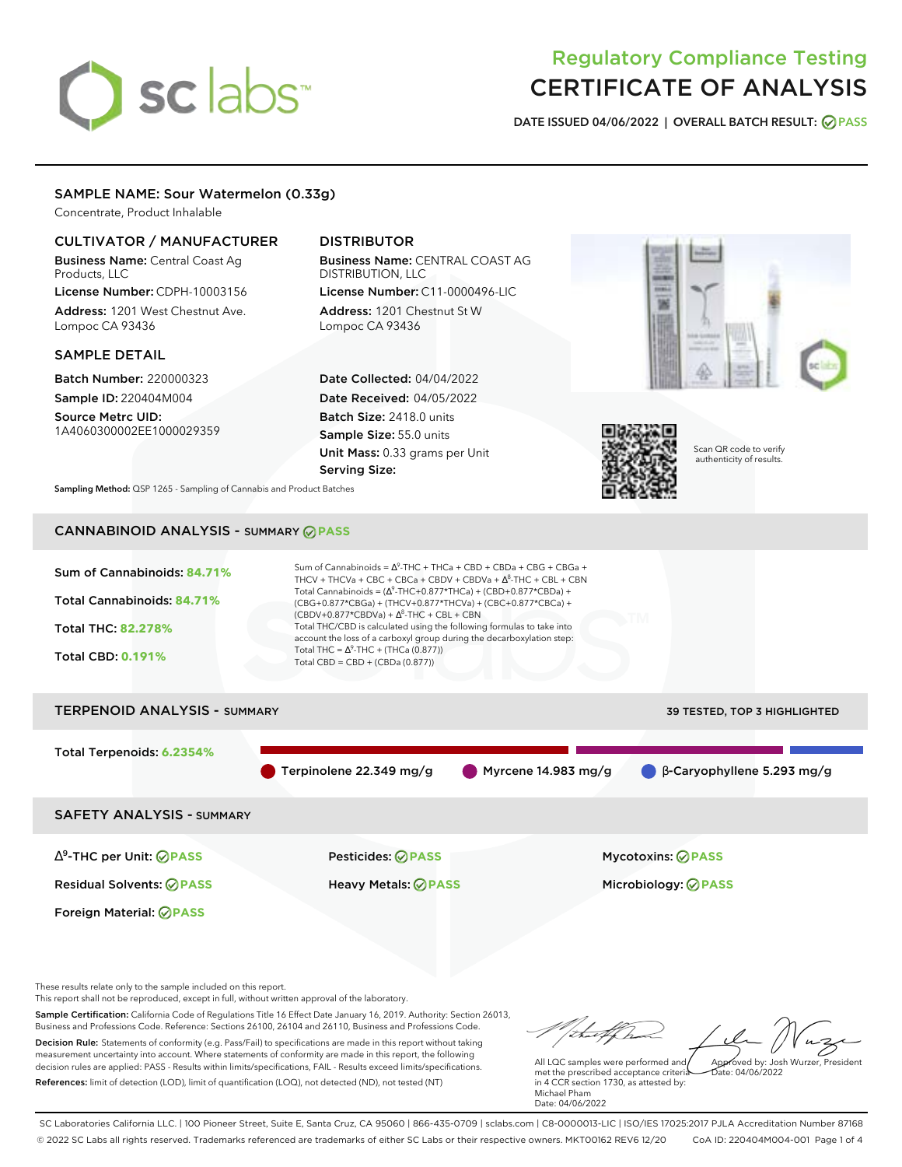# sclabs<sup>\*</sup>

# Regulatory Compliance Testing CERTIFICATE OF ANALYSIS

**DATE ISSUED 04/06/2022 | OVERALL BATCH RESULT: PASS**

# SAMPLE NAME: Sour Watermelon (0.33g)

Concentrate, Product Inhalable

# CULTIVATOR / MANUFACTURER

Business Name: Central Coast Ag Products, LLC

License Number: CDPH-10003156 Address: 1201 West Chestnut Ave. Lompoc CA 93436

## SAMPLE DETAIL

Batch Number: 220000323 Sample ID: 220404M004 Source Metrc UID: 1A4060300002EE1000029359

# DISTRIBUTOR

Business Name: CENTRAL COAST AG DISTRIBUTION, LLC License Number: C11-0000496-LIC

Address: 1201 Chestnut St W Lompoc CA 93436

Date Collected: 04/04/2022 Date Received: 04/05/2022 Batch Size: 2418.0 units Sample Size: 55.0 units Unit Mass: 0.33 grams per Unit Serving Size:





Scan QR code to verify authenticity of results.

**Sampling Method:** QSP 1265 - Sampling of Cannabis and Product Batches

# CANNABINOID ANALYSIS - SUMMARY **PASS**

Sum of Cannabinoids: **84.71%** Total Cannabinoids: **84.71%** Total THC: **82.278%** Total CBD: **0.191%** Sum of Cannabinoids =  $\Delta^9$ -THC + THCa + CBD + CBDa + CBG + CBGa + THCV + THCVa + CBC + CBCa + CBDV + CBDVa +  $\Delta^8$ -THC + CBL + CBN Total Cannabinoids = ( $\Delta^9$ -THC+0.877\*THCa) + (CBD+0.877\*CBDa) + (CBG+0.877\*CBGa) + (THCV+0.877\*THCVa) + (CBC+0.877\*CBCa) +  $(CBDV+0.877*CBDVa) + \Delta^8$ -THC + CBL + CBN Total THC/CBD is calculated using the following formulas to take into account the loss of a carboxyl group during the decarboxylation step: Total THC =  $\Delta^9$ -THC + (THCa (0.877)) Total CBD = CBD + (CBDa (0.877)) TERPENOID ANALYSIS - SUMMARY 39 TESTED, TOP 3 HIGHLIGHTED Total Terpenoids: **6.2354%** Terpinolene 22.349 mg/g Myrcene 14.983 mg/g β-Caryophyllene 5.293 mg/g

SAFETY ANALYSIS - SUMMARY

∆ 9 -THC per Unit: **PASS** Pesticides: **PASS** Mycotoxins: **PASS**

Foreign Material: **PASS**

Residual Solvents: **PASS** Heavy Metals: **PASS** Microbiology: **PASS**

These results relate only to the sample included on this report.

This report shall not be reproduced, except in full, without written approval of the laboratory.

Sample Certification: California Code of Regulations Title 16 Effect Date January 16, 2019. Authority: Section 26013, Business and Professions Code. Reference: Sections 26100, 26104 and 26110, Business and Professions Code. Decision Rule: Statements of conformity (e.g. Pass/Fail) to specifications are made in this report without taking measurement uncertainty into account. Where statements of conformity are made in this report, the following decision rules are applied: PASS - Results within limits/specifications, FAIL - Results exceed limits/specifications.

References: limit of detection (LOD), limit of quantification (LOQ), not detected (ND), not tested (NT)

Approved by: Josh Wurzer, President

 $ate: 04/06/2022$ 

All LQC samples were performed and met the prescribed acceptance criteria in 4 CCR section 1730, as attested by: Michael Pham Date: 04/06/2022

SC Laboratories California LLC. | 100 Pioneer Street, Suite E, Santa Cruz, CA 95060 | 866-435-0709 | sclabs.com | C8-0000013-LIC | ISO/IES 17025:2017 PJLA Accreditation Number 87168 © 2022 SC Labs all rights reserved. Trademarks referenced are trademarks of either SC Labs or their respective owners. MKT00162 REV6 12/20 CoA ID: 220404M004-001 Page 1 of 4